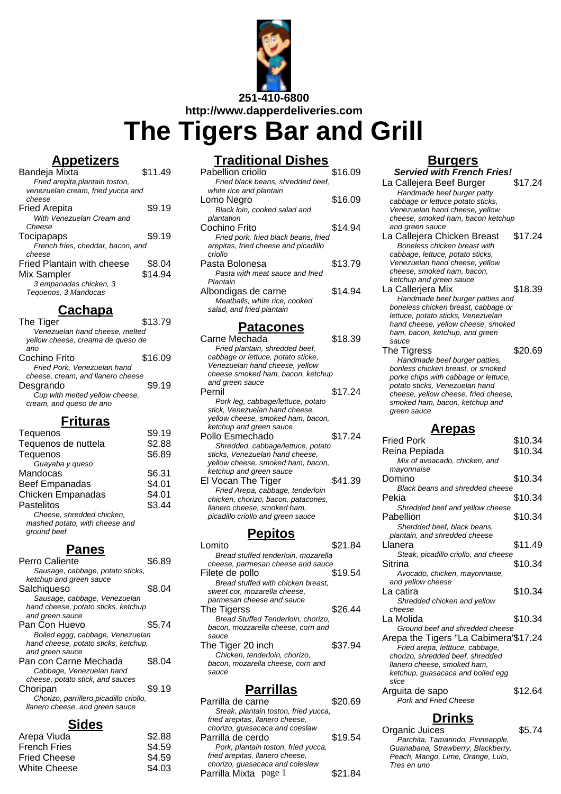

**The Tigers Bar and Grill**

### **Appetizers**

| Bandeja Mixta                     | \$11.49 |
|-----------------------------------|---------|
| Fried arepita, plantain toston,   |         |
| venezuelan cream, fried yucca and |         |
| cheese                            |         |
| Fried Arepita                     | \$9.19  |
| With Venezuelan Cream and         |         |
| Cheese                            |         |
| Tocipapaps                        | \$9.19  |
| French fries, cheddar, bacon, and |         |
| cheese                            |         |
| Fried Plantain with cheese        | \$8.04  |
| Mix Sampler                       | \$14.94 |
| 3 empanadas chicken, 3            |         |
| Tequenos, 3 Mandocas              |         |
|                                   |         |

### **Cachapa**

| The Tiger                         | \$13.79 |
|-----------------------------------|---------|
| Venezuelan hand cheese, melted    |         |
| yellow cheese, creama de queso de |         |
| ano                               |         |
| Cochino Frito                     | \$16.09 |
| Fried Pork, Venezuelan hand       |         |
| cheese, cream, and llanero cheese |         |
| Desgrando                         | \$9.19  |
| Cup with melted yellow cheese,    |         |
| cream, and queso de ano           |         |
|                                   |         |

### **Frituras**

| Tequenos                       | \$9.19 |
|--------------------------------|--------|
| Tequenos de nuttela            | \$2.88 |
| Tequenos                       | \$6.89 |
| Guayaba y queso                |        |
| Mandocas                       | \$6.31 |
| <b>Beef Empanadas</b>          | \$4.01 |
| <b>Chicken Empanadas</b>       | \$4.01 |
| Pastelitos                     | \$3.44 |
| Cheese, shredded chicken,      |        |
| mashed potato, with cheese and |        |
| ground beef                    |        |
|                                |        |

#### **Panes**

| Perro Caliente                          |        |
|-----------------------------------------|--------|
| Sausage, cabbage, potato sticks,        |        |
| ketchup and green sauce                 |        |
| Salchiqueso                             | \$8.04 |
| Sausage, cabbage, Venezuelan            |        |
| hand cheese, potato sticks, ketchup     |        |
| and green sauce                         |        |
| Pan Con Huevo                           | \$5.74 |
| Boiled eggg, cabbage, Venezuelan        |        |
|                                         |        |
| hand cheese, potato sticks, ketchup,    |        |
| and green sauce                         |        |
| Pan con Carne Mechada                   | \$8.04 |
| Cabbage, Venezuelan hand                |        |
| cheese, potato stick, and sauces        |        |
| Choripan                                | \$9.19 |
| Chorizo, parrillero, picadillo criollo, |        |
| llanero cheese, and green sauce         |        |

## **Sides**

| Arepa Viuda         | \$2.88 |
|---------------------|--------|
| <b>French Fries</b> | \$4.59 |
| <b>Fried Cheese</b> | \$4.59 |
| <b>White Cheese</b> | \$4.03 |
|                     |        |

## **Traditional Dishes**

| Pabellion criollo                    | \$16.09    |
|--------------------------------------|------------|
| Fried black beans, shredded beef,    |            |
| white rice and plantain              |            |
| Lomo Negro                           | \$16.09    |
| Black loin, cooked salad and         |            |
| plantation                           |            |
| Cochino Frito                        | \$14.94    |
| Fried pork, fried black beans, fried |            |
| arepitas, fried cheese and picadillo |            |
| criollo                              |            |
| Pasta Bolonesa                       | \$13.79    |
| Pasta with meat sauce and fried      |            |
| Plantain                             |            |
| Albondigas de carne                  | \$14.94    |
| Meatballs, white rice, cooked        |            |
| salad, and fried plantain            |            |
| Patacones                            |            |
| Carne Mechada                        | \$18.39    |
| Fried plantain, shredded beef,       |            |
| cabbage or lettuce, potato sticke,   |            |
| Venezuelan hand cheese, yellow       |            |
| cheese smoked ham, bacon, ketchup    |            |
| and green sauce                      |            |
| Pernil                               | \$17.24    |
| Pork leg, cabbage/lettuce, potato    |            |
| stick, Venezuelan hand cheese,       |            |
| yellow cheese, smoked ham, bacon,    |            |
| ketchup and green sauce              |            |
|                                      | $\uparrow$ |

Pollo Esmechado  $$17.24$ Shredded, cabbage/lettuce, potato sticks, Venezuelan hand cheese, yellow cheese, smoked ham, bacon, ketchup and green sauce El Vocan The Tiger \$41.39 Fried Arepa, cabbage, tenderloin chicken, chorizo, bacon, patacones, llanero cheese, smoked ham, picadillo criollo and green sauce

#### **Pepitos**

| sauce                               |         |
|-------------------------------------|---------|
| bacon, mozarella cheese, corn and   |         |
| Chicken, tenderloin, chorizo,       |         |
| The Tiger 20 inch                   | \$37.94 |
| sauce                               |         |
| bacon, mozzarella cheese, corn and  |         |
| Bread Stuffed Tenderloin, chorizo,  |         |
| The Tigerss                         | \$26.44 |
| parmesan cheese and sauce           |         |
| sweet cor, mozarella cheese,        |         |
| Bread stuffed with chicken breast.  |         |
| Filete de pollo                     | \$19.54 |
| cheese, parmesan cheese and sauce   |         |
| Bread stuffed tenderloin, mozarella |         |
| Lomito                              | \$21.84 |
|                                     |         |

## **Parrillas**

| Parrilla de carne                    | \$20.69 |
|--------------------------------------|---------|
| Steak, plantain toston, fried yucca, |         |
| fried arepitas, llanero cheese,      |         |
| chorizo, quasacaca and coeslaw       |         |
| Parrilla de cerdo                    | \$19.54 |
| Pork, plantain toston, fried yucca,  |         |
| fried arepitas, llanero cheese,      |         |
| chorizo, guasacaca and coleslaw      |         |
| Parrilla Mixta page 1                | \$21.84 |
|                                      |         |

## **Burgers**

| <b>Servied with French Fries!</b>                                      |         |
|------------------------------------------------------------------------|---------|
| La Callejera Beef Burger                                               | \$17.24 |
| Handmade beef burger patty                                             |         |
| cabbage or lettuce potato sticks,                                      |         |
| Venezuelan hand cheese, yellow                                         |         |
| cheese, smoked ham, bacon ketchup                                      |         |
| and green sauce                                                        |         |
| La Callejera Chicken Breast                                            | \$17.24 |
| Boneless chicken breast with                                           |         |
| cabbage, lettuce, potato sticks,                                       |         |
| Venezuelan hand cheese, yellow                                         |         |
| cheese, smoked ham, bacon,                                             |         |
| ketchup and green sauce                                                |         |
| La Callerjera Mix                                                      | \$18.39 |
| Handmade beef burger patties and                                       |         |
| boneless chicken breast, cabbage or                                    |         |
| lettuce, potato sticks, Venezuelan                                     |         |
| hand cheese, yellow cheese, smoked                                     |         |
| ham, bacon, ketchup, and green                                         |         |
| sauce                                                                  |         |
| The Tigress                                                            | \$20.69 |
| Handmade beef burger patties,                                          |         |
| bonless chicken breast, or smoked                                      |         |
| porke chips with cabbage or lettuce,                                   |         |
| potato sticks, Venezuelan hand<br>cheese, yellow cheese, fried cheese, |         |
| smoked ham, bacon, ketchup and                                         |         |
| green sauce                                                            |         |
|                                                                        |         |
| <u>Arepas</u>                                                          |         |
| <b>Fried Pork</b>                                                      |         |
|                                                                        |         |
|                                                                        | \$10.34 |
| Reina Pepiada                                                          | \$10.34 |
| Mix of avoacado, chicken, and                                          |         |
| mayonnaise                                                             |         |
| Domino                                                                 | \$10.34 |
| Black beans and shredded cheese                                        |         |
| Pekia                                                                  | \$10.34 |
| Shredded beef and yellow cheese                                        |         |
| Pabellion                                                              | \$10.34 |
| Sherdded beef, black beans,                                            |         |
| plantain, and shredded cheese                                          |         |
| Llanera                                                                | \$11.49 |
| Steak, picadillo criollo, and cheese                                   |         |
| Sitrina                                                                | \$10.34 |
| Avocado, chicken, mayonnaise,                                          |         |
| and yellow cheese                                                      |         |
| La catira                                                              | \$10.34 |
| Shredded chicken and yellow                                            |         |
| cheese                                                                 |         |
| La Molida                                                              | \$10.34 |
| Ground beef and shredded cheese                                        |         |
| Arepa the Tigers "La Cabimera'\$17.24                                  |         |
| Fried arepa, letttuce, cabbage,                                        |         |
| chorizo, shredded beef, shredded                                       |         |
| llanero cheese, smoked ham,                                            |         |
| ketchup, guasacaca and boiled egg                                      |         |
| slice<br>Arquita de sapo                                               | \$12.64 |

Arguita de sapo \$12.64 Pork and Fried Cheese

### **Drinks**

Organic Juices \$5.74 Parchita, Tamarindo, Pinneapple, Guanabana, Strawberry, Blackberry, Peach, Mango, Lime, Orange, Lulo, Tres en uno